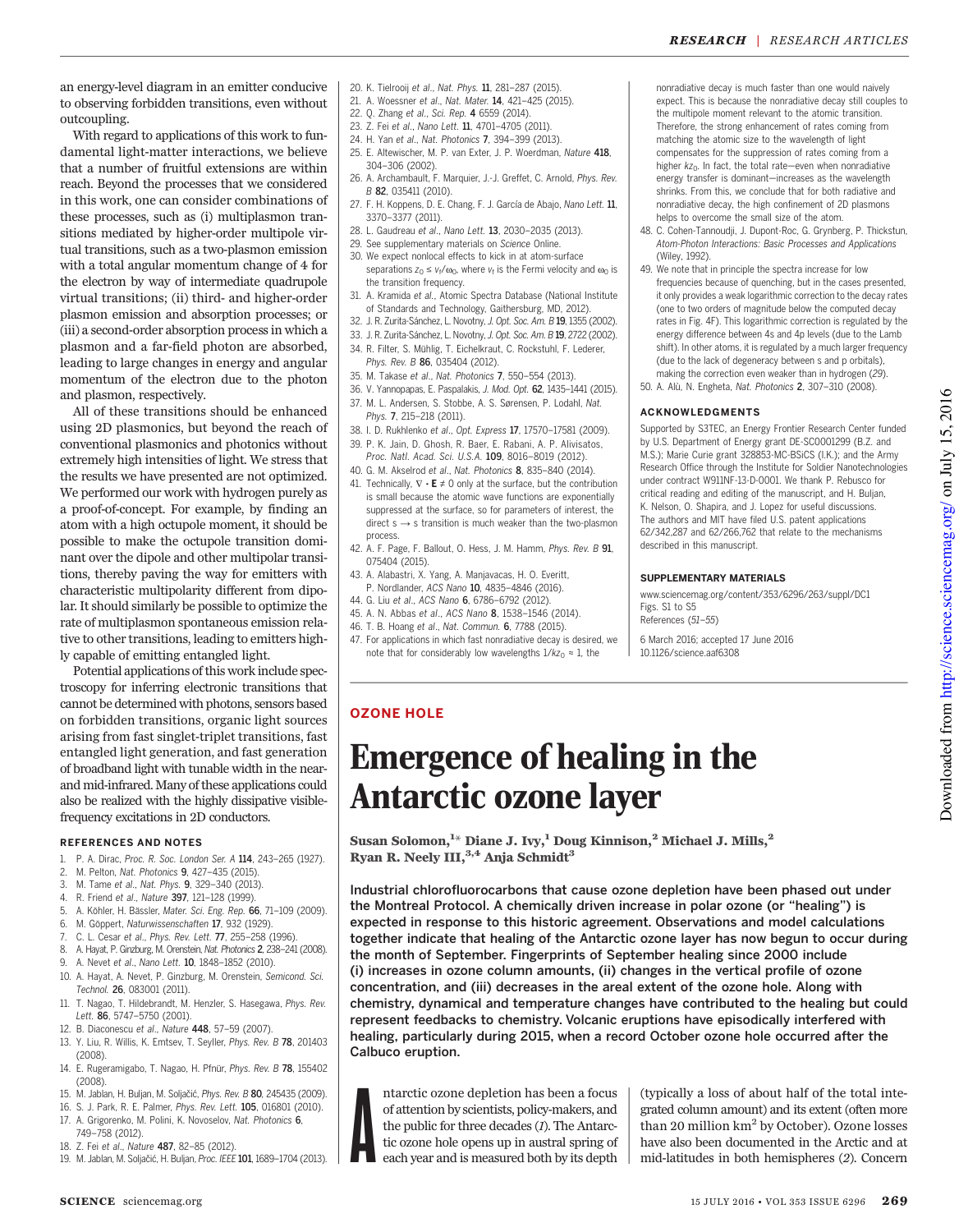an energy-level diagram in an emitter conducive to observing forbidden transitions, even without outcoupling.

With regard to applications of this work to fundamental light-matter interactions, we believe that a number of fruitful extensions are within reach. Beyond the processes that we considered in this work, one can consider combinations of these processes, such as (i) multiplasmon transitions mediated by higher-order multipole virtual transitions, such as a two-plasmon emission with a total angular momentum change of 4 for the electron by way of intermediate quadrupole virtual transitions; (ii) third- and higher-order plasmon emission and absorption processes; or (iii) a second-order absorption process in which a plasmon and a far-field photon are absorbed, leading to large changes in energy and angular momentum of the electron due to the photon and plasmon, respectively.

All of these transitions should be enhanced using 2D plasmonics, but beyond the reach of conventional plasmonics and photonics without extremely high intensities of light. We stress that the results we have presented are not optimized. We performed our work with hydrogen purely as a proof-of-concept. For example, by finding an atom with a high octupole moment, it should be possible to make the octupole transition dominant over the dipole and other multipolar transitions, thereby paving the way for emitters with characteristic multipolarity different from dipolar. It should similarly be possible to optimize the rate of multiplasmon spontaneous emission relative to other transitions, leading to emitters highly capable of emitting entangled light.

Potential applications of this work include spectroscopy for inferring electronic transitions that cannot be determined with photons, sensors based on forbidden transitions, organic light sources arising from fast singlet-triplet transitions, fast entangled light generation, and fast generation of broadband light with tunable width in the nearand mid-infrared. Many of these applications could also be realized with the highly dissipative visiblefrequency excitations in 2D conductors.

#### REFERENCES AND NOTES

- 1. P. A. Dirac, Proc. R. Soc. London Ser. A 114, 243-265 (1927).<br>2. M. Pelton, Nat. Photonics **9.** 427–435 (2015).
- 2. M. Pelton, Nat. Photonics 9, 427–435 (2015).
- 3. M. Tame et al., Nat. Phys. 9, 329–340 (2013).
- 4. R. Friend et al., Nature 397, 121–128 (1999).
- 5. A. Köhler, H. Bässler, Mater. Sci. Eng. Rep. 66, 71–109 (2009).
- 6. M. Göppert, Naturwissenschaften 17, 932 (1929).
- 7. C. L. Cesar et al., Phys. Rev. Lett. 77, 255–258 (1996).
- 8. A. Hayat, P. Ginzburg, M. Orenstein, Nat. Photonics 2, 238–241 (2008).
- 9. A. Nevet et al., Nano Lett. **10**, 1848-1852 (2010).
- 10. A. Hayat, A. Nevet, P. Ginzburg, M. Orenstein, Semicond. Sci. Technol. 26, 083001 (2011).
- 11. T. Nagao, T. Hildebrandt, M. Henzler, S. Hasegawa, Phys. Rev. Lett. 86, 5747–5750 (2001).
- 12. B. Diaconescu et al., Nature 448, 57–59 (2007).
- 13. Y. Liu, R. Willis, K. Emtsev, T. Seyller, Phys. Rev. B 78, 201403 (2008).
- 14. E. Rugeramigabo, T. Nagao, H. Pfnür, Phys. Rev. B 78, 155402 (2008).
- 15. M. Jablan, H. Buljan, M. Soljačić, Phys. Rev. B 80, 245435 (2009).
- 16. S. J. Park, R. E. Palmer, Phys. Rev. Lett. 105, 016801 (2010).
- 17. A. Grigorenko, M. Polini, K. Novoselov, Nat. Photonics 6,
- 749–758 (2012).
- 18. Z. Fei et al., Nature 487, 82-85 (2012).
- 19. M. Jablan, M. Soljačić, H. Buljan, Proc. IEEE 101, 1689–1704 (2013).
- 20. K. Tielrooij et al., Nat. Phys. 11, 281–287 (2015).
- 21. A. Woessner et al., Nat. Mater. 14, 421–425 (2015).
- 22. Q. Zhang et al., Sci. Rep. 4 6559 (2014).
- 23. Z. Fei et al., Nano Lett. 11, 4701-4705 (2011).
- 24. H. Yan et al., Nat. Photonics 7, 394–399 (2013).
- 25. E. Altewischer, M. P. van Exter, J. P. Woerdman, Nature 418, 304–306 (2002).
- 26. A. Archambault, F. Marquier, J.-J. Greffet, C. Arnold, Phys. Rev. B 82, 035411 (2010).
- 27. F. H. Koppens, D. E. Chang, F. J. García de Abajo, Nano Lett. 11, 3370–3377 (2011).
- 28. L. Gaudreau et al., Nano Lett. 13, 2030–2035 (2013).
- 29. See supplementary materials on Science Online.
- 30. We expect nonlocal effects to kick in at atom-surface separations  $z_0 \le v_f/\omega_0$ , where  $v_f$  is the Fermi velocity and  $\omega_0$  is the transition frequency.
- 31. A. Kramida et al., Atomic Spectra Database (National Institute of Standards and Technology, Gaithersburg, MD, 2012).
- 32. J. R. Zurita-Sánchez, L. Novotny, J. Opt. Soc. Am. B 19, 1355 (2002).
- 33. J. R. Zurita-Sánchez, L. Novotny, J. Opt. Soc. Am. B 19, 2722 (2002).
- 34. R. Filter, S. Mühlig, T. Eichelkraut, C. Rockstuhl, F. Lederer,
- Phys. Rev. B 86, 035404 (2012).
- 35. M. Takase et al., Nat. Photonics 7, 550–554 (2013).
- 36. V. Yannopapas, E. Paspalakis, J. Mod. Opt. 62, 1435–1441 (2015).
- 37. M. L. Andersen, S. Stobbe, A. S. Sørensen, P. Lodahl, Nat. Phys. 7, 215–218 (2011).
- 38. I. D. Rukhlenko et al., Opt. Express 17, 17570–17581 (2009).
- 39. P. K. Jain, D. Ghosh, R. Baer, E. Rabani, A. P. Alivisatos, Proc. Natl. Acad. Sci. U.S.A. 109, 8016–8019 (2012).
- 40. G. M. Akselrod et al., Nat. Photonics 8, 835–840 (2014).
- 41. Technically,  $\nabla \cdot \mathbf{E} \neq 0$  only at the surface, but the contribution is small because the atomic wave functions are exponentially suppressed at the surface, so for parameters of interest, the direct  $s \rightarrow s$  transition is much weaker than the two-plasmon process.
- 42. A. F. Page, F. Ballout, O. Hess, J. M. Hamm, Phys. Rev. B 91, 075404 (2015).
- 43. A. Alabastri, X. Yang, A. Manjavacas, H. O. Everitt, P. Nordlander, ACS Nano 10, 4835–4846 (2016).
- 44. G. Liu et al., ACS Nano 6, 6786–6792 (2012).
- 45. A. N. Abbas et al., ACS Nano 8, 1538–1546 (2014).
- 46. T. B. Hoang et al., Nat. Commun. 6, 7788 (2015).
- 47. For applications in which fast nonradiative decay is desired, we note that for considerably low wavelengths  $1/kz_0 \approx 1$ , the

#### nonradiative decay is much faster than one would naively expect. This is because the nonradiative decay still couples to the multipole moment relevant to the atomic transition. Therefore, the strong enhancement of rates coming from matching the atomic size to the wavelength of light compensates for the suppression of rates coming from a higher  $kz_0$ . In fact, the total rate—even when nonradiative energy transfer is dominant—increases as the wavelength shrinks. From this, we conclude that for both radiative and nonradiative decay, the high confinement of 2D plasmons helps to overcome the small size of the atom.

- 48. C. Cohen-Tannoudji, J. Dupont-Roc, G. Grynberg, P. Thickstun, Atom-Photon Interactions: Basic Processes and Applications (Wiley, 1992).
- 49. We note that in principle the spectra increase for low frequencies because of quenching, but in the cases presented, it only provides a weak logarithmic correction to the decay rates (one to two orders of magnitude below the computed decay rates in Fig. 4F). This logarithmic correction is regulated by the energy difference between 4s and 4p levels (due to the Lamb shift). In other atoms, it is regulated by a much larger frequency (due to the lack of degeneracy between s and p orbitals), making the correction even weaker than in hydrogen (29).
- 50. A. Alù, N. Engheta, Nat. Photonics 2, 307–310 (2008).

#### ACKNOWLEDGMENTS

Supported by S3TEC, an Energy Frontier Research Center funded by U.S. Department of Energy grant DE-SC0001299 (B.Z. and M.S.); Marie Curie grant 328853-MC-BSiCS (I.K.); and the Army Research Office through the Institute for Soldier Nanotechnologies under contract W911NF-13-D-0001. We thank P. Rebusco for critical reading and editing of the manuscript, and H. Buljan, K. Nelson, O. Shapira, and J. Lopez for useful discussions. The authors and MIT have filed U.S. patent applications 62/342,287 and 62/266,762 that relate to the mechanisms described in this manuscript.

#### SUPPLEMENTARY MATERIALS

www.sciencemag.org/content/353/6296/263/suppl/DC1 Figs. S1 to S5 References (51–55)

6 March 2016; accepted 17 June 2016 10.1126/science.aaf6308

## OZONE HOLE

# Emergence of healing in the Antarctic ozone layer

Susan Solomon,  ${}^{1\star}$  Diane J. Ivy,  ${}^{1}$  Doug Kinnison,  ${}^{2}$  Michael J. Mills,  ${}^{2}$ Ryan R. Neely III,  $3,4$  Anja Schmidt<sup>3</sup>

Industrial chlorofluorocarbons that cause ozone depletion have been phased out under the Montreal Protocol. A chemically driven increase in polar ozone (or "healing") is expected in response to this historic agreement. Observations and model calculations together indicate that healing of the Antarctic ozone layer has now begun to occur during the month of September. Fingerprints of September healing since 2000 include (i) increases in ozone column amounts, (ii) changes in the vertical profile of ozone concentration, and (iii) decreases in the areal extent of the ozone hole. Along with chemistry, dynamical and temperature changes have contributed to the healing but could represent feedbacks to chemistry. Volcanic eruptions have episodically interfered with healing, particularly during 2015, when a record October ozone hole occurred after the Calbuco eruption.

A ntarctic ozone depletion has been a focus of attention by scientists, policy-makers, and the public for three decades (1). The Antarctic ozone hole opens up in austral spring of each year and is measured both by its depth

(typically a loss of about half of the total integrated column amount) and its extent (often more than 20 million  $km^2$  by October). Ozone losses have also been documented in the Arctic and at mid-latitudes in both hemispheres (2). Concern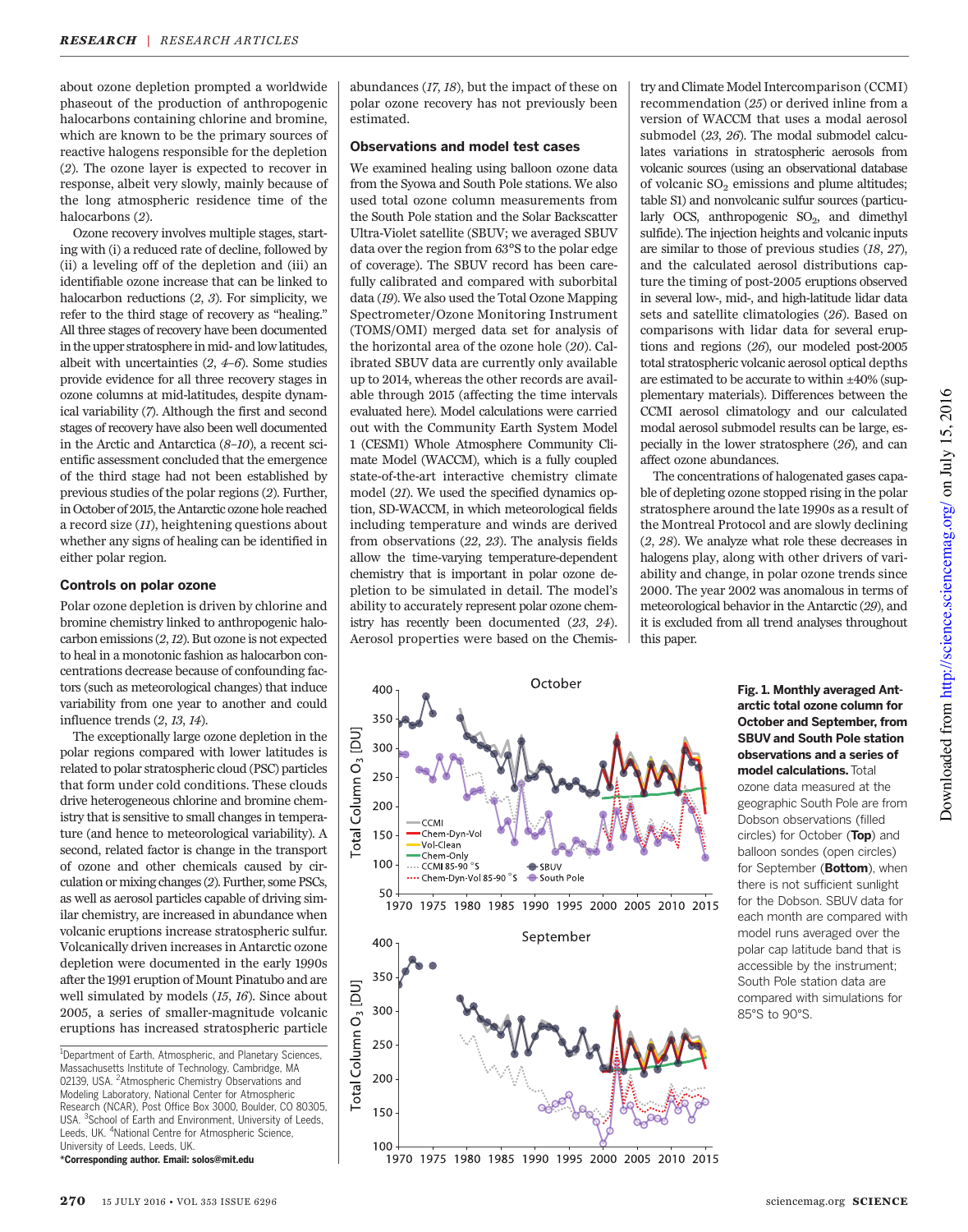about ozone depletion prompted a worldwide phaseout of the production of anthropogenic halocarbons containing chlorine and bromine, which are known to be the primary sources of reactive halogens responsible for the depletion (2). The ozone layer is expected to recover in response, albeit very slowly, mainly because of the long atmospheric residence time of the halocarbons (2).

Ozone recovery involves multiple stages, starting with (i) a reduced rate of decline, followed by (ii) a leveling off of the depletion and (iii) an identifiable ozone increase that can be linked to halocarbon reductions (2, 3). For simplicity, we refer to the third stage of recovery as "healing." All three stages of recovery have been documented in the upper stratosphere in mid- and low latitudes, albeit with uncertainties  $(2, 4-6)$ . Some studies provide evidence for all three recovery stages in ozone columns at mid-latitudes, despite dynamical variability (7). Although the first and second stages of recovery have also been well documented in the Arctic and Antarctica (8–10), a recent scientific assessment concluded that the emergence of the third stage had not been established by previous studies of the polar regions (2). Further, in October of 2015, the Antarctic ozone hole reached a record size (11), heightening questions about whether any signs of healing can be identified in either polar region.

#### Controls on polar ozone

Polar ozone depletion is driven by chlorine and bromine chemistry linked to anthropogenic halocarbon emissions (2,12). But ozone is not expected to heal in a monotonic fashion as halocarbon concentrations decrease because of confounding factors (such as meteorological changes) that induce variability from one year to another and could influence trends (2, 13, 14).

The exceptionally large ozone depletion in the polar regions compared with lower latitudes is related to polar stratospheric cloud (PSC) particles that form under cold conditions. These clouds drive heterogeneous chlorine and bromine chemistry that is sensitive to small changes in temperature (and hence to meteorological variability). A second, related factor is change in the transport of ozone and other chemicals caused by circulation or mixing changes (2). Further, some PSCs, as well as aerosol particles capable of driving similar chemistry, are increased in abundance when volcanic eruptions increase stratospheric sulfur. Volcanically driven increases in Antarctic ozone depletion were documented in the early 1990s after the 1991 eruption of Mount Pinatubo and are well simulated by models (15, 16). Since about 2005, a series of smaller-magnitude volcanic eruptions has increased stratospheric particle

<sup>1</sup>Department of Earth, Atmospheric, and Planetary Sciences, Massachusetts Institute of Technology, Cambridge, MA 02139, USA. <sup>2</sup> Atmospheric Chemistry Observations and Modeling Laboratory, National Center for Atmospheric Research (NCAR), Post Office Box 3000, Boulder, CO 80305, USA. <sup>3</sup>School of Earth and Environment, University of Leeds, Leeds, UK. <sup>4</sup>National Centre for Atmospheric Science, University of Leeds, Leeds, UK.

\*Corresponding author. Email: solos@mit.edu

abundances (17, 18), but the impact of these on polar ozone recovery has not previously been estimated.

### Observations and model test cases

We examined healing using balloon ozone data from the Syowa and South Pole stations. We also used total ozone column measurements from the South Pole station and the Solar Backscatter Ultra-Violet satellite (SBUV; we averaged SBUV data over the region from 63°S to the polar edge of coverage). The SBUV record has been carefully calibrated and compared with suborbital data (19). We also used the Total Ozone Mapping Spectrometer/Ozone Monitoring Instrument (TOMS/OMI) merged data set for analysis of the horizontal area of the ozone hole (20). Calibrated SBUV data are currently only available up to 2014, whereas the other records are available through 2015 (affecting the time intervals evaluated here). Model calculations were carried out with the Community Earth System Model 1 (CESM1) Whole Atmosphere Community Climate Model (WACCM), which is a fully coupled state-of-the-art interactive chemistry climate model (21). We used the specified dynamics option, SD-WACCM, in which meteorological fields including temperature and winds are derived from observations (22, 23). The analysis fields allow the time-varying temperature-dependent chemistry that is important in polar ozone depletion to be simulated in detail. The model's ability to accurately represent polar ozone chemistry has recently been documented (23, 24). Aerosol properties were based on the Chemis-

try and Climate Model Intercomparison (CCMI) recommendation (25) or derived inline from a version of WACCM that uses a modal aerosol submodel (23, 26). The modal submodel calculates variations in stratospheric aerosols from volcanic sources (using an observational database of volcanic  $SO_2$  emissions and plume altitudes; table S1) and nonvolcanic sulfur sources (particularly OCS, anthropogenic  $SO_2$ , and dimethyl sulfide). The injection heights and volcanic inputs are similar to those of previous studies (18, 27), and the calculated aerosol distributions capture the timing of post-2005 eruptions observed in several low-, mid-, and high-latitude lidar data sets and satellite climatologies (26). Based on comparisons with lidar data for several eruptions and regions (26), our modeled post-2005 total stratospheric volcanic aerosol optical depths are estimated to be accurate to within ±40% (supplementary materials). Differences between the CCMI aerosol climatology and our calculated modal aerosol submodel results can be large, especially in the lower stratosphere (26), and can affect ozone abundances.

The concentrations of halogenated gases capable of depleting ozone stopped rising in the polar stratosphere around the late 1990s as a result of the Montreal Protocol and are slowly declining (2, 28). We analyze what role these decreases in halogens play, along with other drivers of variability and change, in polar ozone trends since 2000. The year 2002 was anomalous in terms of meteorological behavior in the Antarctic (29), and it is excluded from all trend analyses throughout this paper.



## 1970 1975 1980 1985 1990 1995 2000 2005 2010 2015

#### Fig. 1. Monthly averaged Antarctic total ozone column for October and September, from SBUV and South Pole station observations and a series of model calculations.Total

ozone data measured at the geographic South Pole are from Dobson observations (filled circles) for October (Top) and balloon sondes (open circles) for September (Bottom), when there is not sufficient sunlight for the Dobson. SBUV data for each month are compared with model runs averaged over the polar cap latitude band that is accessible by the instrument; South Pole station data are compared with simulations for 85°S to 90°S.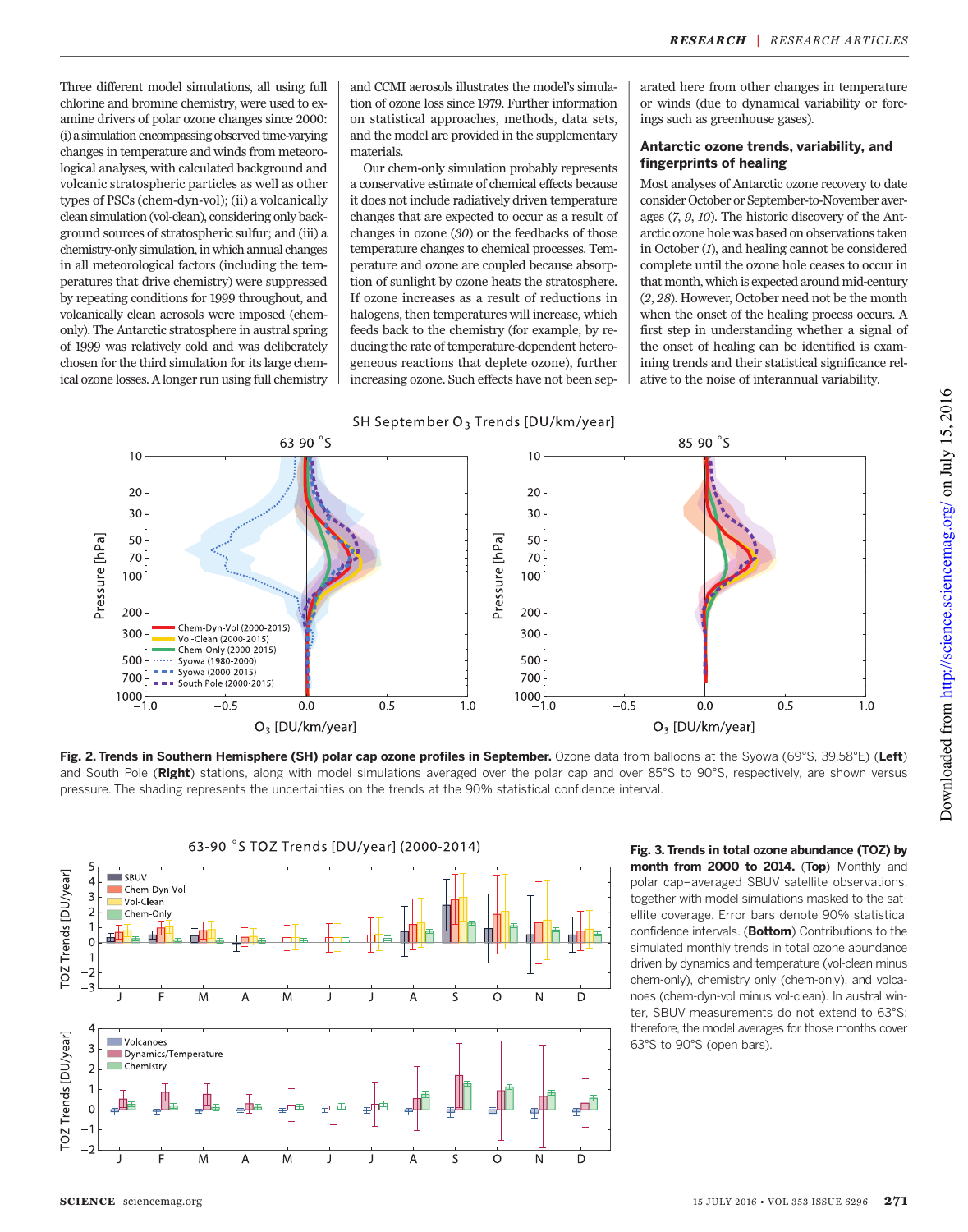Three different model simulations, all using full chlorine and bromine chemistry, were used to examine drivers of polar ozone changes since 2000: (i) a simulation encompassing observed time-varying changes in temperature and winds from meteorological analyses, with calculated background and volcanic stratospheric particles as well as other types of PSCs (chem-dyn-vol); (ii) a volcanically clean simulation (vol-clean), considering only background sources of stratospheric sulfur; and (iii) a chemistry-only simulation, in which annual changes in all meteorological factors (including the temperatures that drive chemistry) were suppressed by repeating conditions for 1999 throughout, and volcanically clean aerosols were imposed (chemonly). The Antarctic stratosphere in austral spring of 1999 was relatively cold and was deliberately chosen for the third simulation for its large chemical ozone losses. A longer run using full chemistry

and CCMI aerosols illustrates the model's simulation of ozone loss since 1979. Further information on statistical approaches, methods, data sets, and the model are provided in the supplementary materials.

Our chem-only simulation probably represents a conservative estimate of chemical effects because it does not include radiatively driven temperature changes that are expected to occur as a result of changes in ozone (30) or the feedbacks of those temperature changes to chemical processes. Temperature and ozone are coupled because absorption of sunlight by ozone heats the stratosphere. If ozone increases as a result of reductions in halogens, then temperatures will increase, which feeds back to the chemistry (for example, by reducing the rate of temperature-dependent heterogeneous reactions that deplete ozone), further increasing ozone. Such effects have not been sep-



arated here from other changes in temperature or winds (due to dynamical variability or forcings such as greenhouse gases).

#### Antarctic ozone trends, variability, and fingerprints of healing

Most analyses of Antarctic ozone recovery to date consider October or September-to-November averages (7, 9, 10). The historic discovery of the Antarctic ozone hole was based on observations taken in October (1), and healing cannot be considered complete until the ozone hole ceases to occur in that month, which is expected around mid-century (2, 28). However, October need not be the month when the onset of the healing process occurs. A first step in understanding whether a signal of the onset of healing can be identified is examining trends and their statistical significance relative to the noise of interannual variability.



Fig. 2. Trends in Southern Hemisphere (SH) polar cap ozone profiles in September. Ozone data from balloons at the Syowa (69°S, 39.58°E) (Left) and South Pole (Right) stations, along with model simulations averaged over the polar cap and over 85°S to 90°S, respectively, are shown versus pressure. The shading represents the uncertainties on the trends at the 90% statistical confidence interval.



Fig. 3. Trends in total ozone abundance (TOZ) by month from 2000 to 2014. (Top) Monthly and polar cap–averaged SBUV satellite observations, together with model simulations masked to the satellite coverage. Error bars denote 90% statistical confidence intervals. (Bottom) Contributions to the simulated monthly trends in total ozone abundance driven by dynamics and temperature (vol-clean minus chem-only), chemistry only (chem-only), and volcanoes (chem-dyn-vol minus vol-clean). In austral winter, SBUV measurements do not extend to 63°S; therefore, the model averages for those months cover 63°S to 90°S (open bars).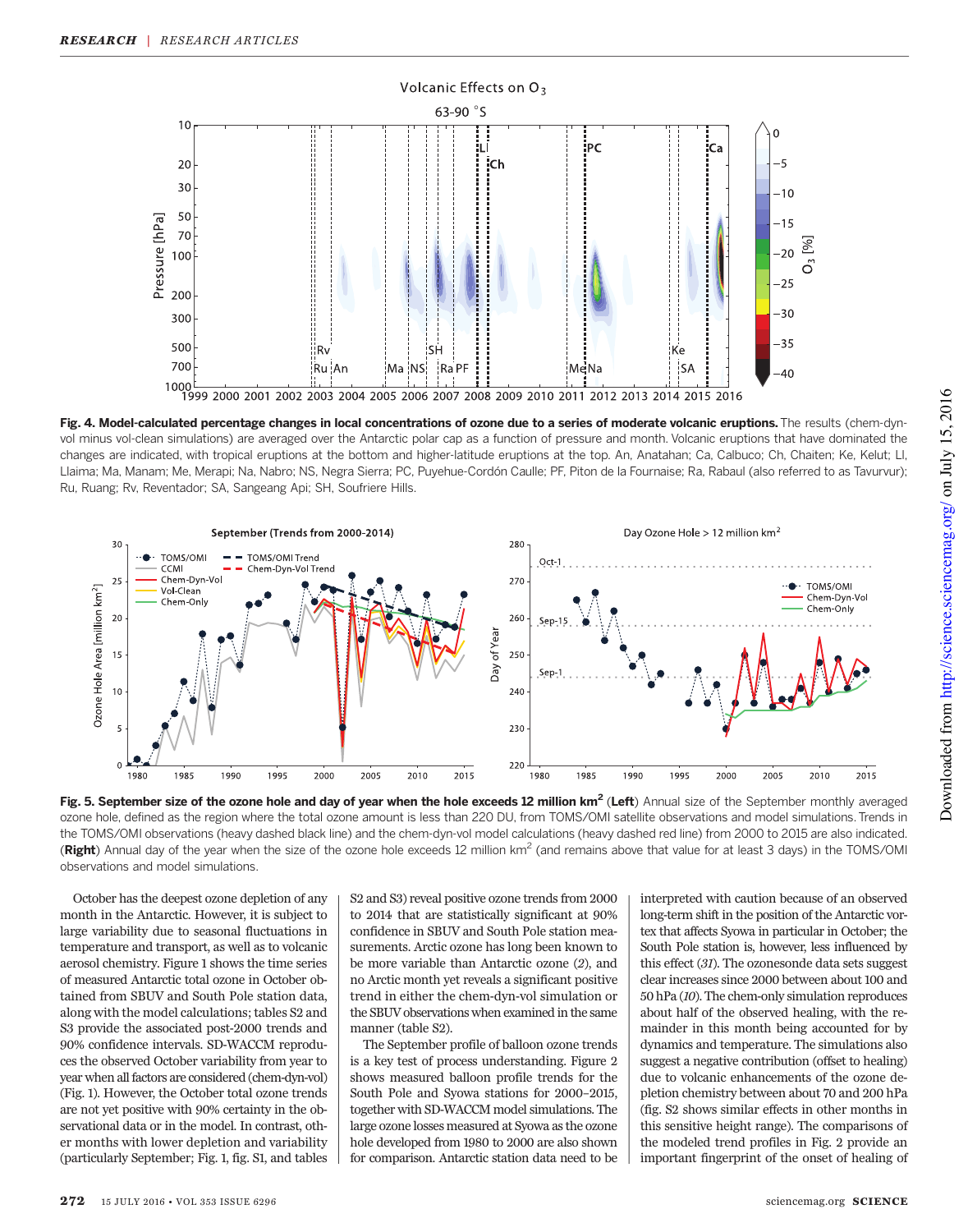

Fig. 4. Model-calculated percentage changes in local concentrations of ozone due to a series of moderate volcanic eruptions. The results (chem-dynvol minus vol-clean simulations) are averaged over the Antarctic polar cap as a function of pressure and month. Volcanic eruptions that have dominated the changes are indicated, with tropical eruptions at the bottom and higher-latitude eruptions at the top. An, Anatahan; Ca, Calbuco; Ch, Chaiten; Ke, Kelut; Ll, Llaima; Ma, Manam; Me, Merapi; Na, Nabro; NS, Negra Sierra; PC, Puyehue-Cordón Caulle; PF, Piton de la Fournaise; Ra, Rabaul (also referred to as Tavurvur); Ru, Ruang; Rv, Reventador; SA, Sangeang Api; SH, Soufriere Hills.



Fig. 5. September size of the ozone hole and day of year when the hole exceeds 12 million km<sup>2</sup> (Left) Annual size of the September monthly averaged ozone hole, defined as the region where the total ozone amount is less than 220 DU, from TOMS/OMI satellite observations and model simulations. Trends in the TOMS/OMI observations (heavy dashed black line) and the chem-dyn-vol model calculations (heavy dashed red line) from 2000 to 2015 are also indicated. (Right) Annual day of the year when the size of the ozone hole exceeds 12 million km<sup>2</sup> (and remains above that value for at least 3 days) in the TOMS/OMI observations and model simulations.

October has the deepest ozone depletion of any month in the Antarctic. However, it is subject to large variability due to seasonal fluctuations in temperature and transport, as well as to volcanic aerosol chemistry. Figure 1 shows the time series of measured Antarctic total ozone in October obtained from SBUV and South Pole station data, along with the model calculations; tables S2 and S3 provide the associated post-2000 trends and 90% confidence intervals. SD-WACCM reproduces the observed October variability from year to year when all factors are considered (chem-dyn-vol) (Fig. 1). However, the October total ozone trends are not yet positive with 90% certainty in the observational data or in the model. In contrast, other months with lower depletion and variability (particularly September; Fig. 1, fig. S1, and tables

S2 and S3) reveal positive ozone trends from 2000 to 2014 that are statistically significant at 90% confidence in SBUV and South Pole station measurements. Arctic ozone has long been known to be more variable than Antarctic ozone (2), and no Arctic month yet reveals a significant positive trend in either the chem-dyn-vol simulation or the SBUV observations when examined in the same manner (table S2).

The September profile of balloon ozone trends is a key test of process understanding. Figure 2 shows measured balloon profile trends for the South Pole and Syowa stations for 2000–2015, together with SD-WACCM model simulations. The large ozone losses measured at Syowa as the ozone hole developed from 1980 to 2000 are also shown for comparison. Antarctic station data need to be interpreted with caution because of an observed long-term shift in the position of the Antarctic vortex that affects Syowa in particular in October; the South Pole station is, however, less influenced by this effect (31). The ozonesonde data sets suggest clear increases since 2000 between about 100 and 50 hPa (10). The chem-only simulation reproduces about half of the observed healing, with the remainder in this month being accounted for by dynamics and temperature. The simulations also suggest a negative contribution (offset to healing) due to volcanic enhancements of the ozone depletion chemistry between about 70 and 200 hPa (fig. S2 shows similar effects in other months in this sensitive height range). The comparisons of the modeled trend profiles in Fig. 2 provide an important fingerprint of the onset of healing of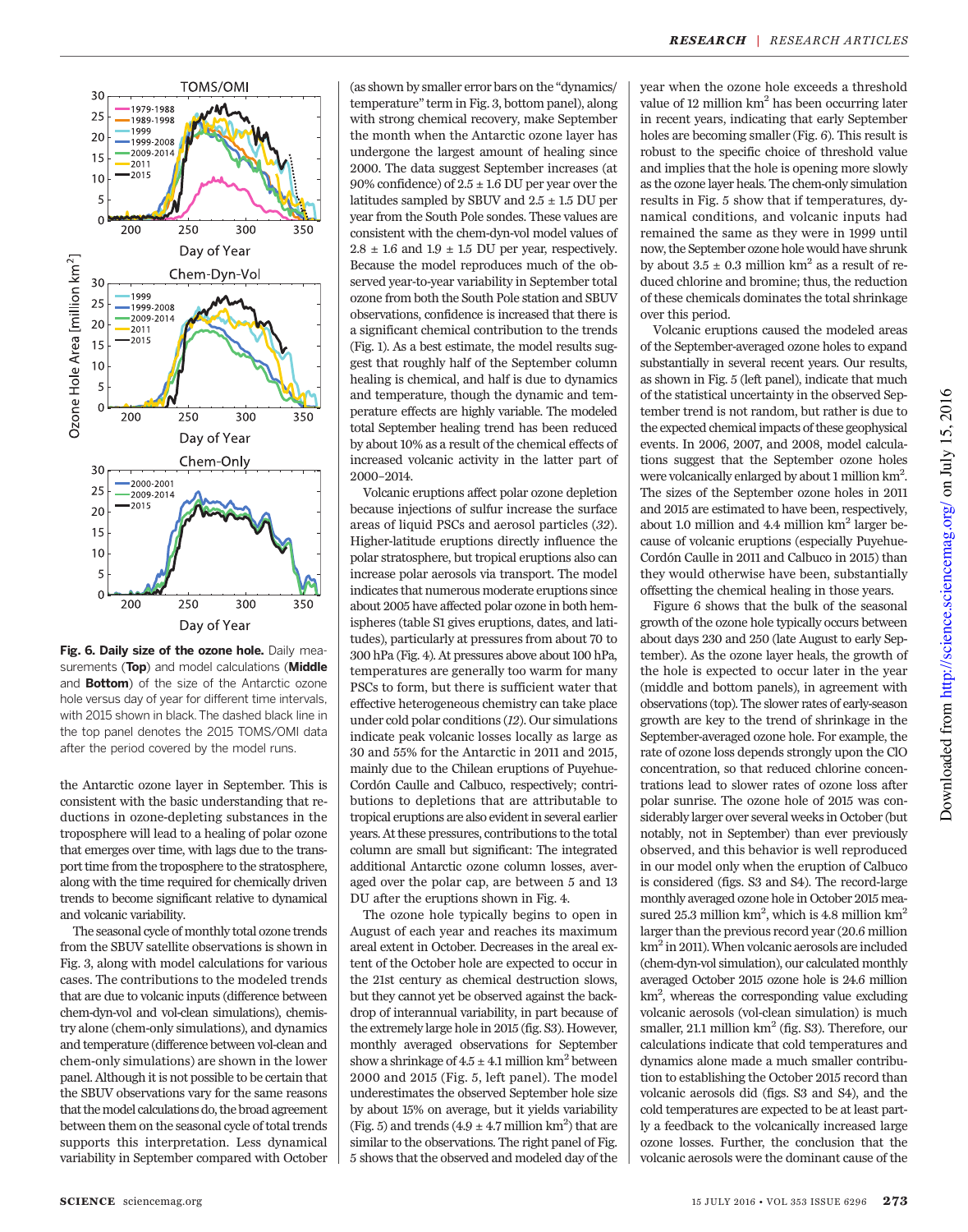



the Antarctic ozone layer in September. This is consistent with the basic understanding that reductions in ozone-depleting substances in the troposphere will lead to a healing of polar ozone that emerges over time, with lags due to the transport time from the troposphere to the stratosphere, along with the time required for chemically driven trends to become significant relative to dynamical and volcanic variability.

The seasonal cycle of monthly total ozone trends from the SBUV satellite observations is shown in Fig. 3, along with model calculations for various cases. The contributions to the modeled trends that are due to volcanic inputs (difference between chem-dyn-vol and vol-clean simulations), chemistry alone (chem-only simulations), and dynamics and temperature (difference between vol-clean and chem-only simulations) are shown in the lower panel. Although it is not possible to be certain that the SBUV observations vary for the same reasons that the model calculations do, the broad agreement between them on the seasonal cycle of total trends supports this interpretation. Less dynamical variability in September compared with October

(as shown by smaller error bars on the "dynamics/ temperature"term in Fig. 3, bottom panel), along with strong chemical recovery, make September the month when the Antarctic ozone layer has undergone the largest amount of healing since 2000. The data suggest September increases (at 90% confidence) of  $2.5 \pm 1.6$  DU per year over the latitudes sampled by SBUV and  $2.5 \pm 1.5$  DU per year from the South Pole sondes. These values are consistent with the chem-dyn-vol model values of  $2.8\,\pm\,1.6$  and  $1.9\,\pm\,1.5$  DU per year, respectively. Because the model reproduces much of the observed year-to-year variability in September total ozone from both the South Pole station and SBUV observations, confidence is increased that there is a significant chemical contribution to the trends (Fig. 1). As a best estimate, the model results suggest that roughly half of the September column healing is chemical, and half is due to dynamics and temperature, though the dynamic and temperature effects are highly variable. The modeled total September healing trend has been reduced by about 10% as a result of the chemical effects of increased volcanic activity in the latter part of 2000–2014.

Volcanic eruptions affect polar ozone depletion because injections of sulfur increase the surface areas of liquid PSCs and aerosol particles (32). Higher-latitude eruptions directly influence the polar stratosphere, but tropical eruptions also can increase polar aerosols via transport. The model indicates that numerous moderate eruptions since about 2005 have affected polar ozone in both hemispheres (table S1 gives eruptions, dates, and latitudes), particularly at pressures from about 70 to 300 hPa (Fig. 4). At pressures above about 100 hPa, temperatures are generally too warm for many PSCs to form, but there is sufficient water that effective heterogeneous chemistry can take place under cold polar conditions (12). Our simulations indicate peak volcanic losses locally as large as 30 and 55% for the Antarctic in 2011 and 2015, mainly due to the Chilean eruptions of Puyehue-Cordón Caulle and Calbuco, respectively; contributions to depletions that are attributable to tropical eruptions are also evident in several earlier years. At these pressures, contributions to the total column are small but significant: The integrated additional Antarctic ozone column losses, averaged over the polar cap, are between 5 and 13 DU after the eruptions shown in Fig. 4.

The ozone hole typically begins to open in August of each year and reaches its maximum areal extent in October. Decreases in the areal extent of the October hole are expected to occur in the 21st century as chemical destruction slows, but they cannot yet be observed against the backdrop of interannual variability, in part because of the extremely large hole in 2015 (fig. S3). However, monthly averaged observations for September show a shrinkage of  $4.5 \pm 4.1$  million km<sup>2</sup> between 2000 and 2015 (Fig. 5, left panel). The model underestimates the observed September hole size by about 15% on average, but it yields variability (Fig. 5) and trends  $(4.9 \pm 4.7 \text{ million km}^2)$  that are similar to the observations. The right panel of Fig. 5 shows that the observed and modeled day of the year when the ozone hole exceeds a threshold value of 12 million km<sup>2</sup> has been occurring later in recent years, indicating that early September holes are becoming smaller (Fig. 6). This result is robust to the specific choice of threshold value and implies that the hole is opening more slowly as the ozone layer heals. The chem-only simulation results in Fig. 5 show that if temperatures, dynamical conditions, and volcanic inputs had remained the same as they were in 1999 until now, the September ozone hole would have shrunk by about  $3.5 \pm 0.3$  million km<sup>2</sup> as a result of reduced chlorine and bromine; thus, the reduction of these chemicals dominates the total shrinkage over this period.

Volcanic eruptions caused the modeled areas of the September-averaged ozone holes to expand substantially in several recent years. Our results, as shown in Fig. 5 (left panel), indicate that much of the statistical uncertainty in the observed September trend is not random, but rather is due to the expected chemical impacts of these geophysical events. In 2006, 2007, and 2008, model calculations suggest that the September ozone holes were volcanically enlarged by about 1 million km<sup>2</sup>. The sizes of the September ozone holes in 2011 and 2015 are estimated to have been, respectively, about 1.0 million and 4.4 million  $km<sup>2</sup>$  larger because of volcanic eruptions (especially Puyehue-Cordón Caulle in 2011 and Calbuco in 2015) than they would otherwise have been, substantially offsetting the chemical healing in those years.

Figure 6 shows that the bulk of the seasonal growth of the ozone hole typically occurs between about days 230 and 250 (late August to early September). As the ozone layer heals, the growth of the hole is expected to occur later in the year (middle and bottom panels), in agreement with observations (top). The slower rates of early-season growth are key to the trend of shrinkage in the September-averaged ozone hole. For example, the rate of ozone loss depends strongly upon the ClO concentration, so that reduced chlorine concentrations lead to slower rates of ozone loss after polar sunrise. The ozone hole of 2015 was considerably larger over several weeks in October (but notably, not in September) than ever previously observed, and this behavior is well reproduced in our model only when the eruption of Calbuco is considered (figs. S3 and S4). The record-large monthly averaged ozone hole in October 2015 measured 25.3 million  $km^2$ , which is 4.8 million  $km^2$ larger than the previous record year (20.6 million km<sup>2</sup> in 2011). When volcanic aerosols are included (chem-dyn-vol simulation), our calculated monthly averaged October 2015 ozone hole is 24.6 million km2 , whereas the corresponding value excluding volcanic aerosols (vol-clean simulation) is much smaller, 21.1 million  $km^2$  (fig. S3). Therefore, our calculations indicate that cold temperatures and dynamics alone made a much smaller contribution to establishing the October 2015 record than volcanic aerosols did (figs. S3 and S4), and the cold temperatures are expected to be at least partly a feedback to the volcanically increased large ozone losses. Further, the conclusion that the volcanic aerosols were the dominant cause of the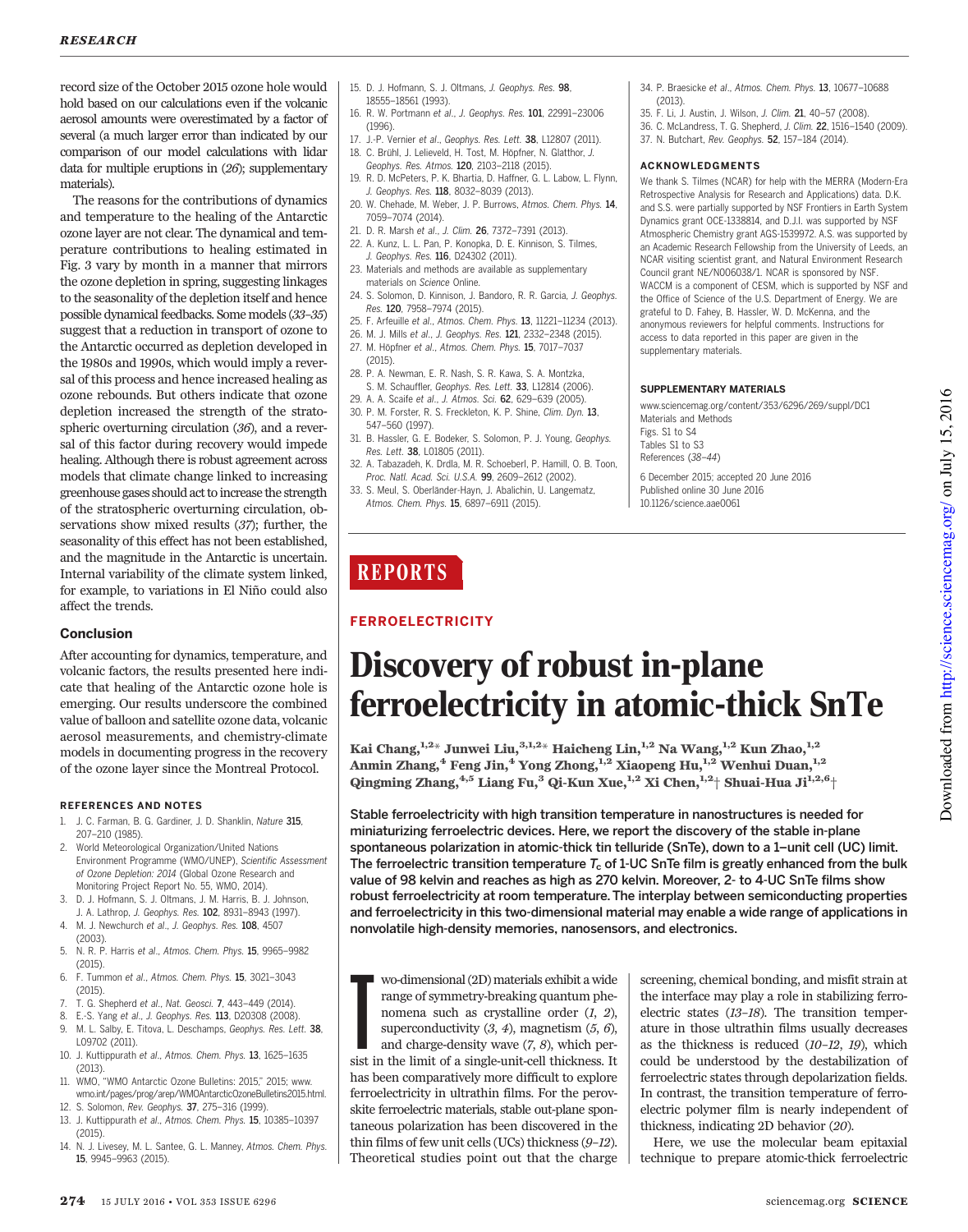record size of the October 2015 ozone hole would hold based on our calculations even if the volcanic aerosol amounts were overestimated by a factor of several (a much larger error than indicated by our comparison of our model calculations with lidar data for multiple eruptions in (26); supplementary materials).

The reasons for the contributions of dynamics and temperature to the healing of the Antarctic ozone layer are not clear. The dynamical and temperature contributions to healing estimated in Fig. 3 vary by month in a manner that mirrors the ozone depletion in spring, suggesting linkages to the seasonality of the depletion itself and hence possible dynamical feedbacks. Some models (33–35) suggest that a reduction in transport of ozone to the Antarctic occurred as depletion developed in the 1980s and 1990s, which would imply a reversal of this process and hence increased healing as ozone rebounds. But others indicate that ozone depletion increased the strength of the stratospheric overturning circulation (36), and a reversal of this factor during recovery would impede healing. Although there is robust agreement across models that climate change linked to increasing greenhouse gases should act to increase the strength of the stratospheric overturning circulation, observations show mixed results (37); further, the seasonality of this effect has not been established, and the magnitude in the Antarctic is uncertain. Internal variability of the climate system linked, for example, to variations in El Niño could also affect the trends.

#### Conclusion

After accounting for dynamics, temperature, and volcanic factors, the results presented here indicate that healing of the Antarctic ozone hole is emerging. Our results underscore the combined value of balloon and satellite ozone data, volcanic aerosol measurements, and chemistry-climate models in documenting progress in the recovery of the ozone layer since the Montreal Protocol.

#### REFERENCES AND NOTES

- J. C. Farman, B. G. Gardiner, J. D. Shanklin, Nature 315, 207–210 (1985). 2. World Meteorological Organization/United Nations
- Environment Programme (WMO/UNEP), Scientific Assessment of Ozone Depletion: 2014 (Global Ozone Research and Monitoring Project Report No. 55, WMO, 2014).
- 3. D. J. Hofmann, S. J. Oltmans, J. M. Harris, B. J. Johnson, J. A. Lathrop, J. Geophys. Res. 102, 8931-8943 (1997).
- 4. M. J. Newchurch et al., J. Geophys. Res. 108, 4507 (2003).
- 5. N. R. P. Harris et al., Atmos. Chem. Phys. 15, 9965–9982 (2015).
- 6. F. Tummon et al., Atmos. Chem. Phys. 15, 3021–3043 (2015).
- 7. T. G. Shepherd et al., Nat. Geosci. 7, 443–449 (2014).
- E.-S. Yang et al., J. Geophys. Res. 113, D20308 (2008).
- 9. M. L. Salby, E. Titova, L. Deschamps, Geophys. Res. Lett. 38, L09702 (2011).
- 10. J. Kuttippurath et al., Atmos. Chem. Phys. 13, 1625–1635 (2013).
- 11. WMO, "WMO Antarctic Ozone Bulletins: 2015," 2015; www. wmo.int/pages/prog/arep/WMOAntarcticOzoneBulletins2015.html.
- 12. S. Solomon, Rev. Geophys. 37, 275–316 (1999).
- 13. J. Kuttippurath et al., Atmos. Chem. Phys. 15, 10385–10397 (2015).
- 14. N. J. Livesey, M. L. Santee, G. L. Manney, Atmos. Chem. Phys. 15, 9945–9963 (2015).
- 15. D. J. Hofmann, S. J. Oltmans, J. Geophys. Res. 98, 18555–18561 (1993).
- 16. R. W. Portmann et al., J. Geophys. Res. 101, 22991–23006 (1996).
- 17. J.-P. Vernier et al., Geophys. Res. Lett. 38, L12807 (2011). 18. C. Brühl, J. Lelieveld, H. Tost, M. Höpfner, N. Glatthor, J.
- Geophys. Res. Atmos. 120, 2103–2118 (2015).
- 19. R. D. McPeters, P. K. Bhartia, D. Haffner, G. L. Labow, L. Flynn, J. Geophys. Res. 118, 8032-8039 (2013).
- 20. W. Chehade, M. Weber, J. P. Burrows, Atmos. Chem. Phys. 14, 7059–7074 (2014).
- 21. D. R. Marsh et al., J. Clim. 26, 7372–7391 (2013).
- 22. A. Kunz, L. L. Pan, P. Konopka, D. E. Kinnison, S. Tilmes, J. Geophys. Res. 116, D24302 (2011).
- 23. Materials and methods are available as supplementary materials on Science Online.
- 24. S. Solomon, D. Kinnison, J. Bandoro, R. R. Garcia, J. Geophys. Res. 120, 7958–7974 (2015).
- 25. F. Arfeuille et al., Atmos. Chem. Phys. 13, 11221–11234 (2013).
- 26. M. J. Mills et al., J. Geophys. Res. 121, 2332–2348 (2015).
- 27. M. Höpfner et al., Atmos. Chem. Phys. 15, 7017–7037
- (2015). 28. P. A. Newman, E. R. Nash, S. R. Kawa, S. A. Montzka, S. M. Schauffler, Geophys. Res. Lett. 33, L12814 (2006).
- 29. A. A. Scaife et al., J. Atmos. Sci. 62, 629-639 (2005).
- 30. P. M. Forster, R. S. Freckleton, K. P. Shine, Clim. Dyn. 13, 547–560 (1997).
- 31. B. Hassler, G. E. Bodeker, S. Solomon, P. J. Young, Geophys. Res. Lett. 38, L01805 (2011).
- 32. A. Tabazadeh, K. Drdla, M. R. Schoeberl, P. Hamill, O. B. Toon, Proc. Natl. Acad. Sci. U.S.A. 99, 2609–2612 (2002).
- 33. S. Meul, S. Oberländer-Hayn, J. Abalichin, U. Langematz, Atmos. Chem. Phys. 15, 6897–6911 (2015).
- 34. P. Braesicke et al., Atmos. Chem. Phys. 13, 10677–10688 (2013).
- 35. F. Li, J. Austin, J. Wilson, J. Clim. 21, 40–57 (2008).
- 36. C. McLandress, T. G. Shepherd, J. Clim. 22, 1516–1540 (2009).
- 37. N. Butchart, Rev. Geophys. 52, 157–184 (2014).

#### ACKNOWLEDGMENTS

We thank S. Tilmes (NCAR) for help with the MERRA (Modern-Era Retrospective Analysis for Research and Applications) data. D.K. and S.S. were partially supported by NSF Frontiers in Earth System Dynamics grant OCE-1338814, and D.J.I. was supported by NSF Atmospheric Chemistry grant AGS-1539972. A.S. was supported by an Academic Research Fellowship from the University of Leeds, an NCAR visiting scientist grant, and Natural Environment Research Council grant NE/N006038/1. NCAR is sponsored by NSF. WACCM is a component of CESM, which is supported by NSF and the Office of Science of the U.S. Department of Energy. We are grateful to D. Fahey, B. Hassler, W. D. McKenna, and the anonymous reviewers for helpful comments. Instructions for access to data reported in this paper are given in the supplementary materials.

#### SUPPLEMENTARY MATERIALS

www.sciencemag.org/content/353/6296/269/suppl/DC1 Materials and Methods Figs. S1 to S4 Tables S1 to S3 References (38–44)

6 December 2015; accepted 20 June 2016 Published online 30 June 2016 10.1126/science.aae0061

# **REPORTS**

# FERROELECTRICITY

# Discovery of robust in-plane ferroelectricity in atomic-thick SnTe

Kai Chang,<sup>1,2\*</sup> Junwei Liu,<sup>3,1,2\*</sup> Haicheng Lin,<sup>1,2</sup> Na Wang,<sup>1,2</sup> Kun Zhao,<sup>1,2</sup> Anmin Zhang,<sup>4</sup> Feng Jin,<sup>4</sup> Yong Zhong,<sup>1,2</sup> Xiaopeng Hu,<sup>1,2</sup> Wenhui Duan,<sup>1,2</sup> Qingming Zhang,  $4.5$  Liang Fu, $3$  Qi-Kun Xue,  $1.2$  Xi Chen,  $1.2$  Shuai-Hua Ji $1.2,6$ +

Stable ferroelectricity with high transition temperature in nanostructures is needed for miniaturizing ferroelectric devices. Here, we report the discovery of the stable in-plane spontaneous polarization in atomic-thick tin telluride (SnTe), down to a 1-unit cell (UC) limit. The ferroelectric transition temperature  $T_c$  of 1-UC SnTe film is greatly enhanced from the bulk value of 98 kelvin and reaches as high as 270 kelvin. Moreover, 2- to 4-UC SnTe films show robust ferroelectricity at room temperature. The interplay between semiconducting properties and ferroelectricity in this two-dimensional material may enable a wide range of applications in nonvolatile high-density memories, nanosensors, and electronics.

wo-dimensional (2D) materials exhibit a wide<br>range of symmetry-breaking quantum phe-<br>nomena such as crystalline order  $(I, 2)$ ,<br>superconductivity  $(3, 4)$ , magnetism  $(5, 6)$ ,<br>and charge-density wave  $(7, 8)$ , which per-<br>s wo-dimensional (2D) materials exhibit a wide range of symmetry-breaking quantum phenomena such as crystalline order (1, 2), superconductivity  $(3, 4)$ , magnetism  $(5, 6)$ , and charge-density wave (7, 8), which perhas been comparatively more difficult to explore ferroelectricity in ultrathin films. For the perovskite ferroelectric materials, stable out-plane spontaneous polarization has been discovered in the thin films of few unit cells (UCs) thickness (9–12). Theoretical studies point out that the charge screening, chemical bonding, and misfit strain at the interface may play a role in stabilizing ferroelectric states (13–18). The transition temperature in those ultrathin films usually decreases as the thickness is reduced (10–12, 19), which could be understood by the destabilization of ferroelectric states through depolarization fields. In contrast, the transition temperature of ferroelectric polymer film is nearly independent of thickness, indicating 2D behavior (20).

Here, we use the molecular beam epitaxial technique to prepare atomic-thick ferroelectric